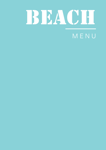

## MENU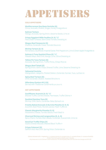## APPETISERS

#### **COLD APPETISERS**

**Mediterranean Sea Bass Ceviche (G)** Citrus, Avocado, Shallot, Ginger, Honey Vinaigrette 80

**Salmon Tartare** Mango, Avocado, Spring Onion, Sesame Seeds, Lime 85

**Crispy Eggplant Mille Feuilles (V, G)** Feta Cream Cheese, Semi Dried Tomato Dressing 65

**Wagyu Beef Carpaccio (G)** Gherkins, Coriander Cress, Tonnato Sauce 92

**Shrimp Tartare (G, S)** Romanesco, Cauliflower, Imperial Caviar, Pink Peppercorn, Lime & Green Apple Vinaigrette 95

**Salmon & Tuna Sashimi Pizza (G)** Wasabi Mayo, Red Chilli, Mango, Lime, Citrus Dressing 85

**Yellow Fin Tuna Tartare (G)** Avocado, Spring Onion, Truffle Ponzu, Crispy Rice 98

**Wagyu Beef Tataki (G)** Spring Onion, Garlic Chips, Shaved Truffle, Lime, Sesame Dressing 139

**Yellowtail Ceviche** Mangosteen, Jalapeño, Pickled Daikon, Coriander, Sumac, Yuzu, Lychee 105

**Spicy Beef Tartare (G)** Chilli, Coriander, Shallot, Toasted Brioche 115

**Gillardeau Oysters № 2 (S)** Served with Traditional Condiments per piece 42

#### **HOT APPETISERS**

**Cauliflower Arancini (V, G)** Shaved Truffle, Comté Cheese, Parmesan, Truffle Crème 77

**Sautéed Gambas Tava (S)** Shrimp, Chilli, Garlic, Coriander, Baby Spinach 105

**Freshly Baked Avocado & Burrata Pizzetta (V, N, G)**  Zucchini, Basil Pesto, Rocket Leaves, Fresh Truffle 135

#### **Classic Margherita Pizzetta (V, G)**

Mozzarella Cheese, Tomato Sauce, Fresh Basil 70

**Charcoal Shrimp and Langoustine (S, A, G)** Spicy Cherry Tomato Marmalade, Coriander, Guacamole, Lime 139

#### **Hand Cut Truffle Chips (V)**

Goat's Cheese Mousse, Shaved Black Truffle 77

#### **Crispy Calamari (G)**

Saffron Aioli, Red Chilli, Spring Onion, Coriander 85

Dishes indicated with V-Vegetarian, A- contains Alcohol, N-contains Nuts, G–contains Gluten, S–contains Shellfish Gluten Free items are available upon request. All prices are in U.A.E Dirham's and inclusive of 7% Municipality fees and 10% Service charge and 5% VAT.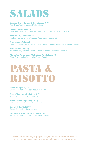## SALADS

**Burrata, Cherry Tomato & Black Grapes (G, V)**  Red Onion, Basil, Lime, Aged Balsamic 96

**Classic Caesar Salad (G)** Baby Gem, Salted Anchovies, Parmesan, Bacon Crumbs, Herb Croutons 85

**Alaskan King Crab Salad (S)** Heirloom Cerise Tomato, Avocado, Asparagus, Mesclun 139

**Fresh Quinoa Salad (V)** Dried Cranberry, Roasted Apple, Shaved Fennel, Pomelo, Honey Mustard Vinaigrette 70

**Salad Fraîcheur (G, V)** Mixed Leaves , Heirloom Cherry Tomato, Avocado, Edamame, Radish 70

**Marinated Watermelon, Walnut and Feta Salad (V, N)** Black Olives, Spring Onion, Mint, Cherry Tomato 85

## PASTA & **RISOTTO**

**Lobster Linguine (G, S)** Cherry Tomato Confit, Basil, Bisque Sauce 210

**Forest Mushroom Tagliatelle (G, V)** Aged Parmesan, Shaved Truffle 169

**Zucchini Pesto Rigatoni (V, N, G)** Rocket, Eggplant, Roasted Pine Seeds 120

**Squid Ink Risotto (S)** Cerise Tomato, Scallions, Basil, Lime 125

**Homemade Sweet Potato Gnocchi (G, V)** Parmesan, Sage Crumble, Shaved Fresh Truffle 169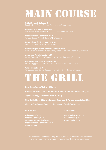## MAIN COURSE

#### **Grilled Spanish Octopus (S)**

**Roasted Line Caught Sea Bass** 

**Mediterranean Beef Manti (G, N)**

**Caramelised Scottish Salmon (G, A)** Coriander Cress, Capers, Chilli, Lime 165

**Braised Wagyu Beef Cheek and Pomme Purée** 

**Aubergine Parmigiana (V, N, G)**

**Mediterranean Alinazik Lamb Cutlets**

**White Mini Sliders (G)** 

## TUHU GRILL

**Pure Black Angus Rib Eye - 300g** 285

**Organic 100% Grass Fed - Hormone & Antibiotic Free Tenderloin - 250g** 265

**Japanese Wagyu Striploin (Grade 9+) 200g** 545

**Char-Grilled Baby Chicken, Tomato, Cucumber & Pomegranate Salsa (G)** 180

**Crispy Fries (V)** 40 **Seared Foie Gras 50g** 45 **Mashed Potato (V)** 42 **Black Truffle 2g** 95 **Seasonal Vegetables (V)** 42 **Kristal Caviar 5g** 90 **Mediterranean Ratatouille (V)** 42 **Steamed Rice (V)** 32

#### **SIDE DISHES SUPPLEMENT**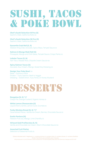## SUSHI, TACOS & POKE BOWL

**Chef's Sushi Selection 18 Pcs (S)**  Sashimi, Maki, California Rolls 149

**Chef's Sushi Selection 36 Pcs (S)** Sashimi, Maki, California Rolls 295

**Dynamite Crab Roll (G, S)** Alaskan King Crab, Avocado, Spicy Mayo, Teriyaki Sauce 95

**Salmon & Mango Maki Roll (G)** Pineapple, Mango and Chilli Salsa, Teriyaki Sauce, Crispy Panko 85

**Lobster Tacos (S, N)** Nori Taco, Wasabi Rice, Chipotle Cream Sauce 169

**Spicy Salmon Tacos (G)** Avocado, Sour Cream, Mango, Sweet Soy Dressing 125

**Design Your Poke Bowl** 139

Base – Quinoa or Rice Protein – Tuna, Salmon, Beef or Veggie Dressing – Sweet Onion, Yuzu Ponzu or Honey Mustard

## DESSERTS

**Bougatsa (N, G)** Crispy Filo, Orange Custard, Organic Honey 55

**White Lemon Cheesecake (G)**  Liquid Cherry Centre, Lemon Curd, Crumble 65

**Funky Monkey Bread (N, G)** Caramelized Pecan, Vanilla Ice Cream, Berries, Chocolate Sauce 65

**Exotic Pavlova (N)** Passion Fruit Jus, Mango, Lime Chantilly 55

**18 Karat Gold Profiteroles (G, N)** Vanilla and Chocolate Ice Cream, Warm Chocolate Sauce 109

**Assorted Fruit Platter** Selection of Seasonal Fruits 55

> Dishes indicated with V-Vegetarian, A- contains Alcohol, N-contains Nuts, G–contains Gluten, S–contains Shellfish Gluten Free items are available upon reques All prices are in U.A.E Dirham's and inclusive of 7% Municipality fees and 10% Service charge and 5% VAT.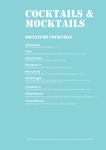## COCKTAILS & MOCKTAILS

### SIGNATURE COCKTAILS

**White Peach**

**Frozé**

**Costa Del Razz** Mixed Berries, Basil, Cachaça, Lime Juice 85/400

**Over Board**  Tanqueray Gin, Pink Grapefruit, Lime Leaf, Basil 85/400

**Mermaid Tail**

**White Sangria** Matua Rosé, Martini Bianco, Passion Fruit Syrup, Apple Juice, Lemon Juice,

**Le Poisson**  Tanqueray Gin, Sloe Gin, Cherry Liqueur, Orange Juice, Mango Purée 85/400

**Yellow Diamond** Whole Pineapple, Lemon Juice, Passion Fruit, Ketel One Citroen, Da Luca Prosecco 125

**Hakuna Macoco**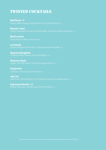## **TWISTED COCKTAILS**

**Spiritzual** 

**Bloody Twist**

**Basil Lovers**

**La Colada**

**Negroni Sbagliato**

**Moscow Mule** Ginger, Smirnoff Vodka, Lime, Pink Grapefruit Juice 75

**Caipirinha** 

 **Mai Tai**

**Espresso Martini**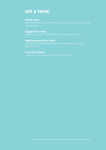### Gin & Tonic

#### **Pink & Tonic**

Gordon's Pink Gin, Fever Tree Mediterranean Tonic, Pink Grapefruit Wedge,

#### **Veggie Gin & Tonic**

#### **Mediterranean Gin & Tonic**

Green Olives 105

#### **Floral Gin & Tonic**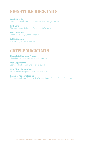## SIGNATURE MOCKTAILS

**Fresh Morning** Carrot Juice, Vanilla Ice Cream, Passion Fruit, Orange Juice 45

**Pink Land** Strawberries, White Grapes, Pomegranate Syrup 45

**Feel The Green** Green Apple Juice, Lychee, Lemon 45

**White Coconut** Fresh Young White Coconut 50

## COFFEE MOCKTAILS

**Chocolate Espresso Frappé** Chocolate, Espresso, Milk, Whipped Cream 45

**Iced Cappuccino** Espresso, Frothed Milk, Choice of Flavour 45

**Mint Chocolate Coffee** Mint, Chocolate, Espresso, Milk, Tonic Water 55

**Caramel Popcorn Frappe** Espresso, Vanilla Ice Cream, Milk, Whipped Cream, Caramel Sauce, Popcorn 45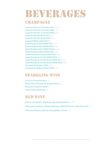## BEVERAGES

### CHAMPAGNE

**Laurent-Perrier La Cuvée 75cl** 160/1100 **Laurent-Perrier La Cuvée 150cl** 2200 **Laurent-Perrier La Cuvée 300cl** 4750 **Laurent-Perrier Rosé 75cl** 2400 **Laurent-Perrier Rosé 150cl** 4900 **Lanson White Label 75cl** 850 **Dom Pérignon Brut 2010 75cl** 3900 **Dom Pérignon Brut 2008 150cl** 7950 **Dom Pérignon Brut 2009 300cl** 27500 **Dom Pérignon Rosé 2004 75cl** 9800 **Louis Roederer Cristal 2009 75cl** 4950 **Louis Roederer Cristal 2009 150cl** 11000 **Louis Roederer Cristal Rosé 2008 75cl** 9500 **Louis Roederer Cristal Rosé 2008 150cl** 18400 **Armand de Brignac 75cl** 6500 **Armand de Brignac Rosé 150cl** 23500

## SPARKLING WINE

**Da Luca Prosecco Brut** 375 **Nino Franco Prosecco Rustico Brut** 600 **Da Luca Prosecco Rosé** 450 **Pearls Non-Alcoholic** 395

## RED WINE

**Matua, Pinot Noir, Marlborough, New Zealand** 85/425 **Marchese Antinori, Chianti Classico DOCG Reserva, Tuscany, Italy** 810 **Chanson Fleurie, Gamay, Beaujolais, France** 575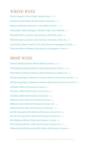### WHITE WIND

**Fattori Gregoris, Pinot Grigio, Veneto, Italy** 60/295 **19 Crimes Hard Chard, South Eastern Australia** 85/425 **Barton & Guestier, Sancerre, Loire Valley, France** 120/595 **Greywacke, Wild Sauvignon, Marlborough, New Zealand** 895 **Etichetta Nera La Scolca, Gavi dei Gavi, Piemonte, Italy** 1250 **Etichetta Nera La Scolca, Gavi dei Gavi, Piemonte, Italy 1.5L** 2450 **Louis Latour Saint-Aubin 1er Cru, Chardonnay, Bourgogne, France** 995 **Chanson Mâcon-Villages, Chardonnay, Bourgogne, France** 580

## ROSÉ WINE

**Sunset, Château Ksara, Bekaa Valley, Lebanon** 95/460 **M de Minuty, Château Minuty, Côtes de Provence, France** 95/450 **M de Minuty, Château Minuty, Côtes de Provence, France 1.5L** 850 **Whispering Angel, Château D'esclans, Côtes de Provence, France** 130/620 **Whispering Angel, Château D'esclans, Côtes de Provence, France 3L** 2750 **Aix Rosé, Côtes de Provence, France** 595 **Aix Rosé, Côtes de Provence, France 1.5L** 1150 **Aix Rosé, Côtes de Provence, France 6L** 5350 **Ultimate Rosé, Côtes de Provence, France** 600 **Ultimate Rosé, Côtes de Provence, France 1.5L** 1150 **Ultimate Rosé, Côtes de Provence, France 3L** 2550 **By. Ott, Domaines Ott, Côtes de Provence, France 1.5L** 1250 **By. Ott, Domaines Ott, Côtes de Provence, France 3L** 2400 **281, Château Minuty, Côtes de Provence, France** 1750 **281, Château Minuty, Côtes de Provence, France 1.5L** 2950 **Château De Selle, Domaines Ott, Côtes de Provence, France** 995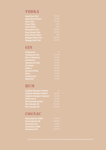### **VODKA**

| <b>Ketel One 75cl</b>    |  |
|--------------------------|--|
| <b>Ketel One Citroen</b> |  |
| <b>Ciroc 75cl</b>        |  |
| <b>Ciroc 175cl</b>       |  |
| <b>Ciroc 300cl</b>       |  |
| <b>Belvedere 75cl</b>    |  |
| <b>Grey Goose 75cl</b>   |  |
| <b>Grey Goose 150cl</b>  |  |
| <b>Beluga Noble 70cl</b> |  |
| <b>Beluga Gold 70cl</b>  |  |

## GIN

| <b>Tanqueray</b>      | 55      |
|-----------------------|---------|
| <b>Tanqueray Ten</b>  | 80/1700 |
| <b>Star of Bombay</b> | 70/1500 |
| <b>Hendrick's</b>     | 75/1600 |
| Monkey 47 50cl        | 95/1800 |
| <b>Gin Mare</b>       | 80/1650 |
| Daffy's               | 90/1900 |
| <b>Gordon's Pink</b>  | 65/900  |
| <b>Roku</b>           | 75/1350 |
| <b>London No.1</b>    | 95/1800 |
| <b>Sipsmith</b>       | 75/1350 |

### Rum

| <b>Captain Morgan's White</b>  |
|--------------------------------|
| <b>Captain Morgan's Black</b>  |
| <b>Captain Morgan's Spiced</b> |
| <b>Sailor Jerry</b>            |
| <b>Ron Zacapa Ambar</b>        |
| <b>Ron Zacapa 23</b>           |
| <b>Ron Zacapa XO</b>           |

## **COGNAC**

| <b>Remy Martin VSOP</b> |  |
|-------------------------|--|
| <b>Remy Martin XO</b>   |  |
| <b>Hennessy VS</b>      |  |
| <b>Hennessy VSOP</b>    |  |
| <b>Hennessy XO</b>      |  |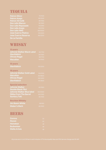### TEQUILA

| <b>Patron Silver</b>       | 75/15  |
|----------------------------|--------|
| <b>Patron Anejo</b>        | 95/20  |
| <b>Patron XO Café</b>      | 90/18  |
| <b>Don Julio Blanco</b>    | 95/19  |
| <b>Don Julio Reposado</b>  | 110/23 |
| <b>Don Julio Anejo</b>     | 150/27 |
| Don Julio 1942             | 295/65 |
| <b>Jose Cuervo Platino</b> | 105/22 |
| <b>Jose Cuervo Reserva</b> | 160/33 |
| De La Familia              |        |

95/2000 95/1900 295/6500

### **WHISKY**

| <b>12 years</b>                   |          |
|-----------------------------------|----------|
| <b>Johnnie Walker Black Label</b> | 80/1700  |
| <b>Glenfiddich</b>                | 90/1900  |
| <b>Chivas Regal</b>               | 80/1700  |
| <b>Macallan</b>                   | 110/1900 |
| <b>15 years</b>                   |          |
| <b>Glenfiddich</b>                | 105/2200 |
| <b>18 years</b>                   |          |
| <b>Johnnie Walker Gold Label</b>  | 100/2100 |
| <b>Macallan</b>                   | 315/6600 |
| <b>Chivas Regal</b>               | 165/3400 |
| <b>Glenfiddich</b>                | 175/3600 |
| <b>Special selection</b>          |          |
| <b>Johnnie Walker</b>             | 90/1900  |
| <b>Double Black 75cl</b>          |          |
| <b>Johnnie Walker Blue label</b>  | 305/6400 |
| <b>Nikka From The Barrel</b>      | 100/1500 |
| <b>Suntory Toki</b>               | 95/1400  |
| <b>Bourbon Whisky</b>             |          |
| <b>Jim Beam White</b>             | 69/950   |
| <b>Maker's Mark</b>               | 80/1600  |
|                                   |          |

### Beers

| <b>Corona</b>        | 50 |
|----------------------|----|
| <b>Peroni</b>        | 50 |
| <b>Heineken</b>      | 48 |
| <b>Budweiser</b>     | 48 |
| <b>Stella Artois</b> | 48 |

All prices are in U.A.E Dirham's and inclusive of 7% Municipality fees and 10% Service charge and 5% VAT. All prices are in U.A.E Dirham's and inclusive of 7% Municipality fees and 10% Service charge and 5% VAT.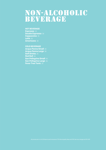# NON-ALCOHOLIC<br>BEVERAGE

#### **HOT BEVERAGE**

**Espresso** 33 **Double Espresso** 38 **Cappuccino** 35 **Latte 35 Americano** 38

#### **COLD BEVERAGE**

**Acqua Panna Small** 30 **Acqua Panna Large** 39 **Soft Drinks** 29 **Red Bull** 38 **San Pellegrino Small** 30 **San Pellegrino Large** 39 **Fever Tree Tonic** 35